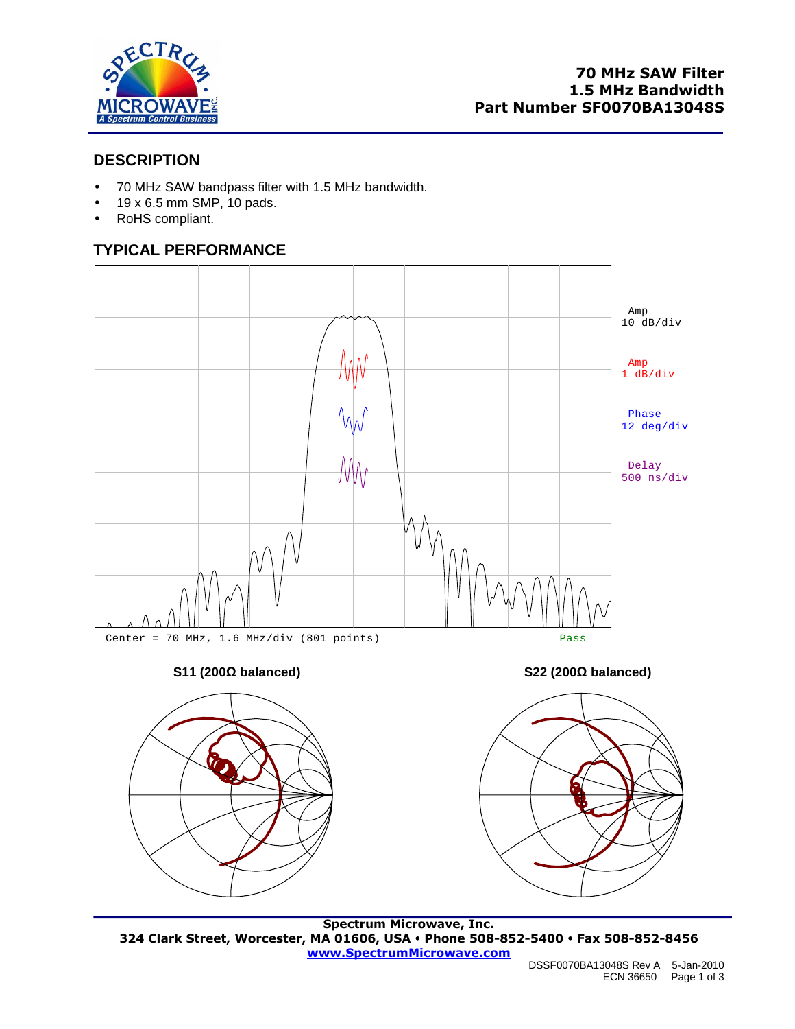

## **DESCRIPTION**

- 70 MHz SAW bandpass filter with 1.5 MHz bandwidth.
- $\bullet$  19 x 6.5 mm SMP, 10 pads.
- RoHS compliant.

# **TYPICAL PERFORMANCE**



#### **S11 (200Ω balanced) S22 (200Ω balanced)**





**Spectrum Microwave, Inc. 324 Clark Street, Worcester, MA 01606, USA Phone 508-852-5400 Fax 508-852-8456 www.SpectrumMicrowave.com**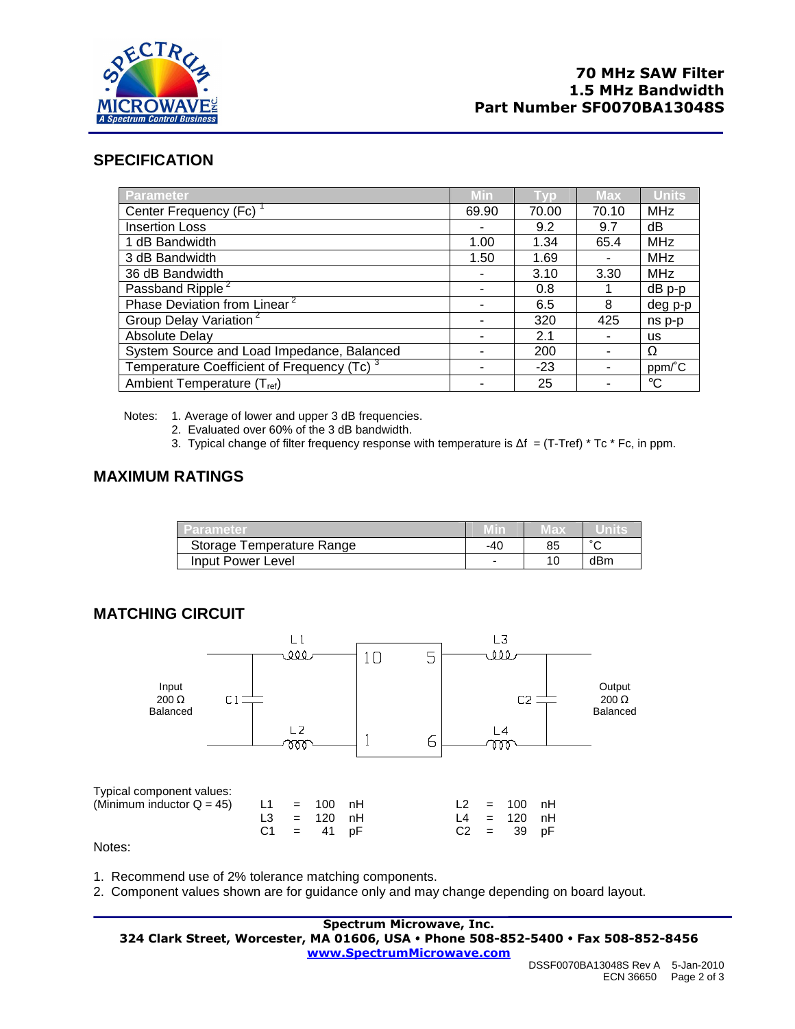

## **SPECIFICATION**

| Parameter                                              | Min   |       | <b>Max</b> | <b>Units</b> |
|--------------------------------------------------------|-------|-------|------------|--------------|
| Center Frequency (Fc)                                  | 69.90 | 70.00 | 70.10      | <b>MHz</b>   |
| <b>Insertion Loss</b>                                  |       | 9.2   | 9.7        | dΒ           |
| 1 dB Bandwidth                                         | 1.00  | 1.34  | 65.4       | <b>MHz</b>   |
| 3 dB Bandwidth                                         | 1.50  | 1.69  |            | <b>MHz</b>   |
| 36 dB Bandwidth                                        |       | 3.10  | 3.30       | <b>MHz</b>   |
| Passband Ripple <sup>2</sup>                           |       | 0.8   |            | dB p-p       |
| Phase Deviation from Linear <sup>2</sup>               |       | 6.5   | 8          | deg p-p      |
| Group Delay Variation <sup>2</sup>                     |       | 320   | 425        | ns p-p       |
| <b>Absolute Delay</b>                                  |       | 2.1   |            | us.          |
| System Source and Load Impedance, Balanced             |       | 200   |            | Ω            |
| Temperature Coefficient of Frequency (Tc) <sup>3</sup> |       | $-23$ |            | ppm/°C       |
| Ambient Temperature (T <sub>ref</sub> )                |       | 25    |            | $^{\circ}C$  |

Notes: 1. Average of lower and upper 3 dB frequencies.

- 2. Evaluated over 60% of the 3 dB bandwidth.
- 3. Typical change of filter frequency response with temperature is  $\Delta f = (T-Tref) * Tc * Fc$ , in ppm.

## **MAXIMUM RATINGS**

| Parameter                 |     | IVI a X |        |
|---------------------------|-----|---------|--------|
| Storage Temperature Range | -40 | 85      | $\sim$ |
| Input Power Level         |     | 10      | dBm    |

#### **MATCHING CIRCUIT**



1. Recommend use of 2% tolerance matching components.

2. Component values shown are for guidance only and may change depending on board layout.

#### **Spectrum Microwave, Inc. 324 Clark Street, Worcester, MA 01606, USA Phone 508-852-5400 Fax 508-852-8456 www.SpectrumMicrowave.com**